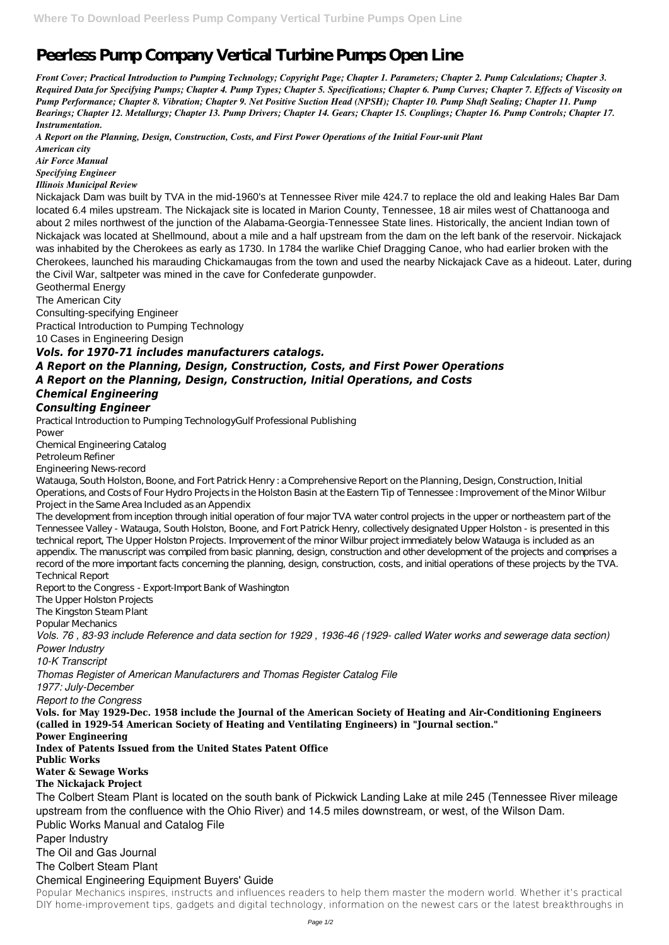## **Peerless Pump Company Vertical Turbine Pumps Open Line**

*Front Cover; Practical Introduction to Pumping Technology; Copyright Page; Chapter 1. Parameters; Chapter 2. Pump Calculations; Chapter 3. Required Data for Specifying Pumps; Chapter 4. Pump Types; Chapter 5. Specifications; Chapter 6. Pump Curves; Chapter 7. Effects of Viscosity on Pump Performance; Chapter 8. Vibration; Chapter 9. Net Positive Suction Head (NPSH); Chapter 10. Pump Shaft Sealing; Chapter 11. Pump Bearings; Chapter 12. Metallurgy; Chapter 13. Pump Drivers; Chapter 14. Gears; Chapter 15. Couplings; Chapter 16. Pump Controls; Chapter 17. Instrumentation.*

*A Report on the Planning, Design, Construction, Costs, and First Power Operations of the Initial Four-unit Plant American city*

*Air Force Manual*

*Specifying Engineer*

*Illinois Municipal Review*

Nickajack Dam was built by TVA in the mid-1960's at Tennessee River mile 424.7 to replace the old and leaking Hales Bar Dam located 6.4 miles upstream. The Nickajack site is located in Marion County, Tennessee, 18 air miles west of Chattanooga and about 2 miles northwest of the junction of the Alabama-Georgia-Tennessee State lines. Historically, the ancient Indian town of Nickajack was located at Shellmound, about a mile and a half upstream from the dam on the left bank of the reservoir. Nickajack was inhabited by the Cherokees as early as 1730. In 1784 the warlike Chief Dragging Canoe, who had earlier broken with the Cherokees, launched his marauding Chickamaugas from the town and used the nearby Nickajack Cave as a hideout. Later, during the Civil War, saltpeter was mined in the cave for Confederate gunpowder.

Geothermal Energy

The American City

Consulting-specifying Engineer

Practical Introduction to Pumping Technology

10 Cases in Engineering Design

## *Vols. for 1970-71 includes manufacturers catalogs.*

*A Report on the Planning, Design, Construction, Costs, and First Power Operations A Report on the Planning, Design, Construction, Initial Operations, and Costs Chemical Engineering*

## *Consulting Engineer*

Practical Introduction to Pumping TechnologyGulf Professional Publishing Power

Chemical Engineering Catalog Petroleum Refiner Engineering News-record

Watauga, South Holston, Boone, and Fort Patrick Henry : a Comprehensive Report on the Planning, Design, Construction, Initial Operations, and Costs of Four Hydro Projects in the Holston Basin at the Eastern Tip of Tennessee : Improvement of the Minor Wilbur Project in the Same Area Included as an Appendix

The development from inception through initial operation of four major TVA water control projects in the upper or northeastern part of the Tennessee Valley - Watauga, South Holston, Boone, and Fort Patrick Henry, collectively designated Upper Holston - is presented in this technical report, The Upper Holston Projects. Improvement of the minor Wilbur project immediately below Watauga is included as an appendix. The manuscript was compiled from basic planning, design, construction and other development of the projects and comprises a record of the more important facts concerning the planning, design, construction, costs, and initial operations of these projects by the TVA. Technical Report

Report to the Congress - Export-Import Bank of Washington

The Upper Holston Projects

The Kingston Steam Plant

Popular Mechanics

*Vols. 76 , 83-93 include Reference and data section for 1929 , 1936-46 (1929- called Water works and sewerage data section) Power Industry*

*10-K Transcript*

*Thomas Register of American Manufacturers and Thomas Register Catalog File*

*1977: July-December*

*Report to the Congress*

**Vols. for May 1929-Dec. 1958 include the Journal of the American Society of Heating and Air-Conditioning Engineers**

**(called in 1929-54 American Society of Heating and Ventilating Engineers) in "Journal section."**

**Power Engineering**

**Index of Patents Issued from the United States Patent Office**

**Public Works**

**Water & Sewage Works**

**The Nickajack Project**

The Colbert Steam Plant is located on the south bank of Pickwick Landing Lake at mile 245 (Tennessee River mileage upstream from the confluence with the Ohio River) and 14.5 miles downstream, or west, of the Wilson Dam.

Public Works Manual and Catalog File

Paper Industry

The Oil and Gas Journal

The Colbert Steam Plant

## Chemical Engineering Equipment Buyers' Guide

Popular Mechanics inspires, instructs and influences readers to help them master the modern world. Whether it's practical DIY home-improvement tips, gadgets and digital technology, information on the newest cars or the latest breakthroughs in